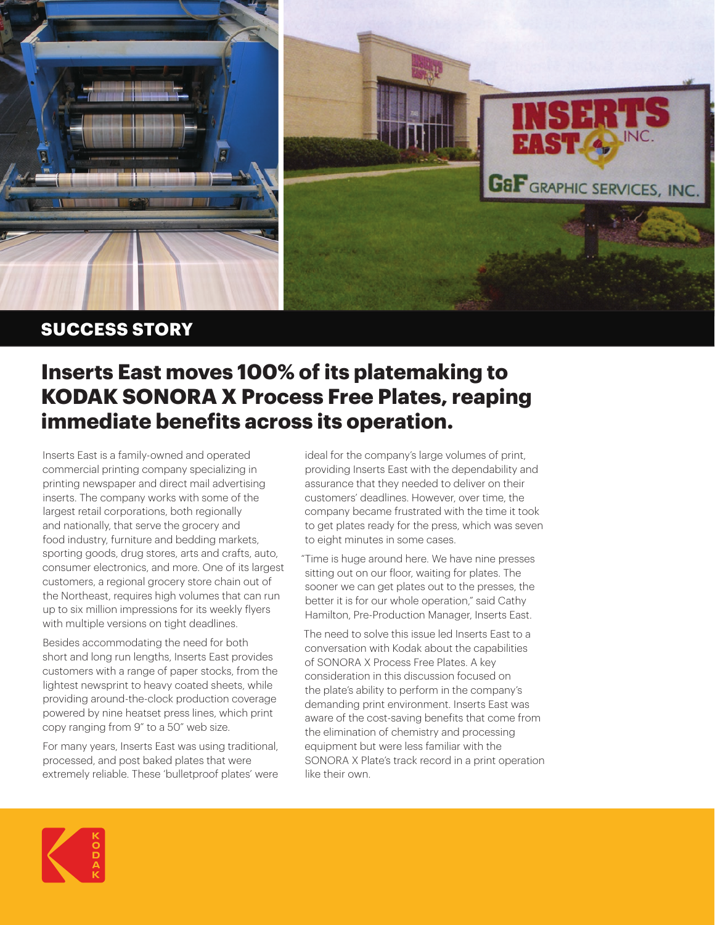

## **SUCCESS STORY**

## **Inserts East moves 100% of its platemaking to KODAK SONORA X Process Free Plates, reaping immediate benefits across its operation.**

Inserts East is a family-owned and operated commercial printing company specializing in printing newspaper and direct mail advertising inserts. The company works with some of the largest retail corporations, both regionally and nationally, that serve the grocery and food industry, furniture and bedding markets, sporting goods, drug stores, arts and crafts, auto, consumer electronics, and more. One of its largest customers, a regional grocery store chain out of the Northeast, requires high volumes that can run up to six million impressions for its weekly flyers with multiple versions on tight deadlines.

Besides accommodating the need for both short and long run lengths, Inserts East provides customers with a range of paper stocks, from the lightest newsprint to heavy coated sheets, while providing around-the-clock production coverage powered by nine heatset press lines, which print copy ranging from 9" to a 50" web size.

For many years, Inserts East was using traditional, processed, and post baked plates that were extremely reliable. These 'bulletproof plates' were ideal for the company's large volumes of print, providing Inserts East with the dependability and assurance that they needed to deliver on their customers' deadlines. However, over time, the company became frustrated with the time it took to get plates ready for the press, which was seven to eight minutes in some cases.

"Time is huge around here. We have nine presses sitting out on our floor, waiting for plates. The sooner we can get plates out to the presses, the better it is for our whole operation," said Cathy Hamilton, Pre-Production Manager, Inserts East.

The need to solve this issue led Inserts East to a conversation with Kodak about the capabilities of SONORA X Process Free Plates. A key consideration in this discussion focused on the plate's ability to perform in the company's demanding print environment. Inserts East was aware of the cost-saving benefits that come from the elimination of chemistry and processing equipment but were less familiar with the SONORA X Plate's track record in a print operation like their own.